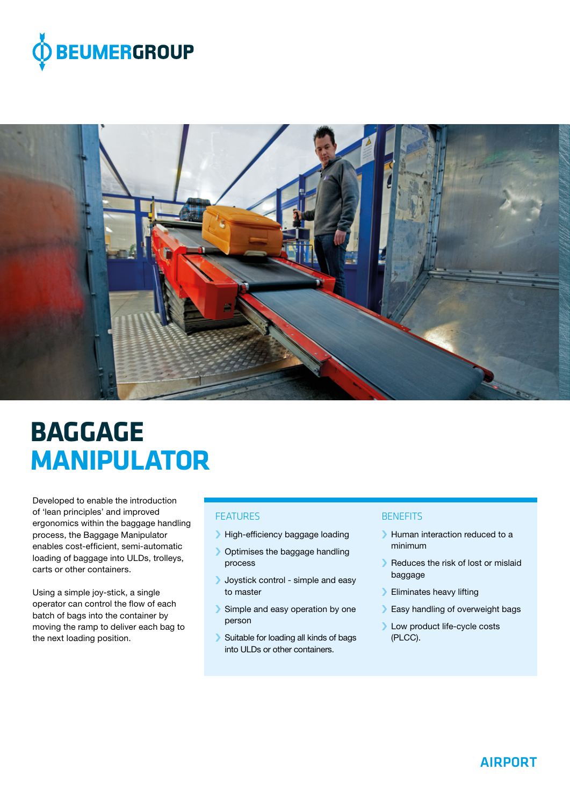



# **BAGGAGE MANIPULATOR**

Developed to enable the introduction of 'lean principles' and improved ergonomics within the baggage handling process, the Baggage Manipulator enables cost-efficient, semi-automatic loading of baggage into ULDs, trolleys, carts or other containers.

Using a simple joy-stick, a single operator can control the flow of each batch of bags into the container by moving the ramp to deliver each bag to the next loading position.

### **FFATURES**

- › High-efficiency baggage loading
- › Optimises the baggage handling process
- › Joystick control simple and easy to master
- Simple and easy operation by one person
- › Suitable for loading all kinds of bags into ULDs or other containers.

#### **BENEFITS**

- › Human interaction reduced to a minimum
- › Reduces the risk of lost or mislaid baggage
- › Eliminates heavy lifting
- > Easy handling of overweight bags
- › Low product life-cycle costs (PLCC).

## AIRPORT